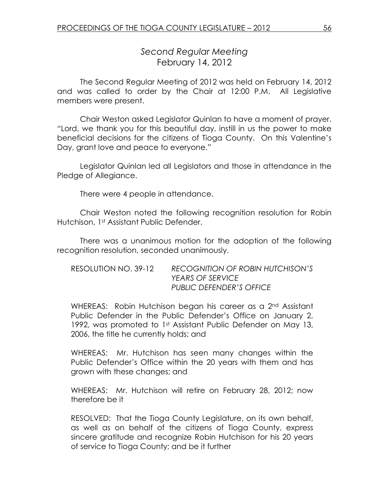# Second Regular Meeting February 14, 2012

 The Second Regular Meeting of 2012 was held on February 14, 2012 and was called to order by the Chair at 12:00 P.M. All Legislative members were present.

Chair Weston asked Legislator Quinlan to have a moment of prayer. "Lord, we thank you for this beautiful day, instill in us the power to make beneficial decisions for the citizens of Tioga County. On this Valentine's Day, grant love and peace to everyone."

 Legislator Quinlan led all Legislators and those in attendance in the Pledge of Allegiance.

There were 4 people in attendance.

 Chair Weston noted the following recognition resolution for Robin Hutchison, 1st Assistant Public Defender.

 There was a unanimous motion for the adoption of the following recognition resolution, seconded unanimously.

| RESOLUTION NO. 39-12 | RECOGNITION OF ROBIN HUTCHISON'S |
|----------------------|----------------------------------|
|                      | <b>YEARS OF SERVICE</b>          |
|                      | <b>PUBLIC DEFENDER'S OFFICE</b>  |

WHEREAS: Robin Hutchison began his career as a 2<sup>nd</sup> Assistant Public Defender in the Public Defender's Office on January 2, 1992, was promoted to 1st Assistant Public Defender on May 13, 2006, the title he currently holds; and

WHEREAS: Mr. Hutchison has seen many changes within the Public Defender's Office within the 20 years with them and has grown with these changes; and

WHEREAS: Mr. Hutchison will retire on February 28, 2012; now therefore be it

RESOLVED: That the Tioga County Legislature, on its own behalf, as well as on behalf of the citizens of Tioga County, express sincere gratitude and recognize Robin Hutchison for his 20 years of service to Tioga County; and be it further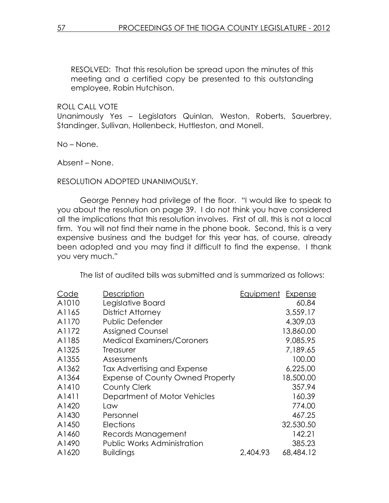RESOLVED: That this resolution be spread upon the minutes of this meeting and a certified copy be presented to this outstanding employee, Robin Hutchison.

ROLL CALL VOTE

Unanimously Yes – Legislators Quinlan, Weston, Roberts, Sauerbrey, Standinger, Sullivan, Hollenbeck, Huttleston, and Monell.

No – None.

Absent – None.

# RESOLUTION ADOPTED UNANIMOUSLY.

 George Penney had privilege of the floor. "I would like to speak to you about the resolution on page 39. I do not think you have considered all the implications that this resolution involves. First of all, this is not a local firm. You will not find their name in the phone book. Second, this is a very expensive business and the budget for this year has, of course, already been adopted and you may find it difficult to find the expense. I thank you very much."

The list of audited bills was submitted and is summarized as follows:

| Code  | Description                             | Equipment Expense |           |
|-------|-----------------------------------------|-------------------|-----------|
| A1010 | Legislative Board                       |                   | 60.84     |
| A1165 | <b>District Attorney</b>                |                   | 3,559.17  |
| A1170 | Public Defender                         |                   | 4,309.03  |
| A1172 | <b>Assigned Counsel</b>                 |                   | 13,860.00 |
| A1185 | <b>Medical Examiners/Coroners</b>       |                   | 9,085.95  |
| A1325 | Treasurer                               |                   | 7,189.65  |
| A1355 | Assessments                             |                   | 100.00    |
| A1362 | Tax Advertising and Expense             |                   | 6,225.00  |
| A1364 | <b>Expense of County Owned Property</b> |                   | 18,500.00 |
| A1410 | County Clerk                            |                   | 357.94    |
| A1411 | Department of Motor Vehicles            |                   | 160.39    |
| A1420 | Law                                     |                   | 774.00    |
| A1430 | Personnel                               |                   | 467.25    |
| A1450 | Elections                               |                   | 32,530.50 |
| A1460 | Records Management                      |                   | 142.21    |
| A1490 | <b>Public Works Administration</b>      |                   | 385.23    |
| A1620 | <b>Buildings</b>                        | 2,404.93          | 68,484.12 |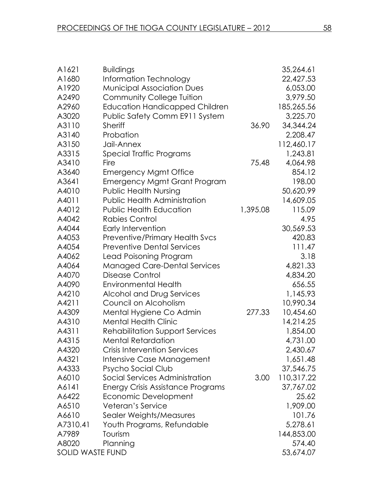| A1621            | <b>Buildings</b>                       |          | 35,264.61  |
|------------------|----------------------------------------|----------|------------|
| A1680            | Information Technology                 |          | 22,427.53  |
| A1920            | <b>Municipal Association Dues</b>      |          | 6,053.00   |
| A2490            | <b>Community College Tuition</b>       |          | 3,979.50   |
| A2960            | <b>Education Handicapped Children</b>  |          | 185,265.56 |
| A3020            | Public Safety Comm E911 System         |          | 3,225.70   |
| A3110            | <b>Sheriff</b>                         | 36.90    | 34,344.24  |
| A3140            | Probation                              |          | 2,208.47   |
| A3150            | Jail-Annex                             |          | 112,460.17 |
| A3315            | Special Traffic Programs               |          | 1,243.81   |
| A3410            | Fire                                   | 75.48    | 4,064.98   |
| A3640            | <b>Emergency Mgmt Office</b>           |          | 854.12     |
| A3641            | <b>Emergency Mgmt Grant Program</b>    |          | 198.00     |
| A4010            | <b>Public Health Nursing</b>           |          | 50,620.99  |
| A4011            | <b>Public Health Administration</b>    |          | 14,609.05  |
| A4012            | <b>Public Health Education</b>         | 1,395.08 | 115.09     |
| A4042            | <b>Rabies Control</b>                  |          | 4.95       |
| A4044            | Early Intervention                     |          | 30,569.53  |
| A4053            | <b>Preventive/Primary Health Svcs</b>  |          | 420.83     |
| A4054            | <b>Preventive Dental Services</b>      |          | 111.47     |
| A4062            | Lead Poisoning Program                 |          | 3.18       |
| A4064            | <b>Managed Care-Dental Services</b>    |          | 4,821.33   |
| A4070            | Disease Control                        |          | 4,834.20   |
| A4090            | <b>Environmental Health</b>            |          | 656.55     |
| A4210            | Alcohol and Drug Services              |          | 1,145.93   |
| A4211            | Council on Alcoholism                  |          | 10,990.34  |
| A4309            | Mental Hygiene Co Admin                | 277.33   | 10,454.60  |
| A4310            | <b>Mental Health Clinic</b>            |          | 14,214.25  |
| A4311            | <b>Rehabilitation Support Services</b> |          | 1,854.00   |
| A4315            | <b>Mental Retardation</b>              |          | 4,731.00   |
| A4320            | <b>Crisis Intervention Services</b>    |          | 2,430.67   |
| A4321            | Intensive Case Management              |          | 1,651.48   |
| A4333            | Psycho Social Club                     |          | 37,546.75  |
| A6010            | Social Services Administration         | 3.00     | 110,317.22 |
| A6141            | Energy Crisis Assistance Programs      |          | 37,767.02  |
| A6422            | Economic Development                   |          | 25.62      |
| A6510            | Veteran's Service                      |          | 1,909.00   |
| A6610            | Sealer Weights/Measures                |          | 101.76     |
| A7310.41         | Youth Programs, Refundable             |          | 5,278.61   |
| A7989            | Tourism                                |          | 144,853.00 |
| A8020            | Planning                               |          | 574.40     |
| SOLID WASTE FUND |                                        |          | 53,674.07  |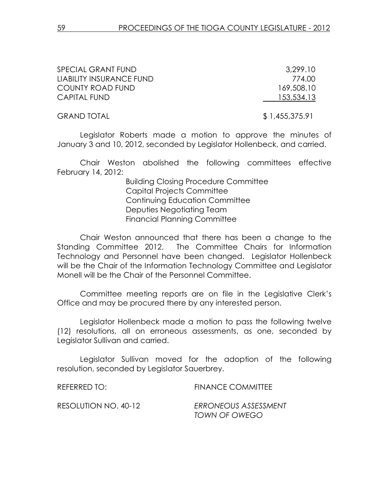| SPECIAL GRANT FUND       | 3,299.10       |
|--------------------------|----------------|
| LIABILITY INSURANCE FUND | 774.00         |
| <b>COUNTY ROAD FUND</b>  | 169,508.10     |
| <b>CAPITAL FUND</b>      | 153,534.13     |
| <b>GRAND TOTAL</b>       | \$1,455,375.91 |

Legislator Roberts made a motion to approve the minutes of January 3 and 10, 2012, seconded by Legislator Hollenbeck, and carried.

 Chair Weston abolished the following committees effective February 14, 2012:

> Building Closing Procedure Committee Capital Projects Committee Continuing Education Committee Deputies Negotiating Team Financial Planning Committee

 Chair Weston announced that there has been a change to the Standing Committee 2012. The Committee Chairs for Information Technology and Personnel have been changed. Legislator Hollenbeck will be the Chair of the Information Technology Committee and Legislator Monell will be the Chair of the Personnel Committee.

Committee meeting reports are on file in the Legislative Clerk's Office and may be procured there by any interested person.

 Legislator Hollenbeck made a motion to pass the following twelve (12) resolutions, all on erroneous assessments, as one, seconded by Legislator Sullivan and carried.

 Legislator Sullivan moved for the adoption of the following resolution, seconded by Legislator Sauerbrey.

| REFERRED TO:         | <b>FINANCE COMMITTEE</b>              |
|----------------------|---------------------------------------|
| RESOLUTION NO. 40-12 | ERRONEOUS ASSESSMENT<br>TOWN OF OWEGO |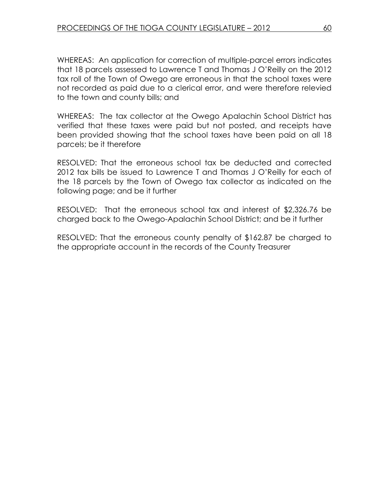WHEREAS: An application for correction of multiple-parcel errors indicates that 18 parcels assessed to Lawrence T and Thomas J O'Reilly on the 2012 tax roll of the Town of Owego are erroneous in that the school taxes were not recorded as paid due to a clerical error, and were therefore relevied to the town and county bills; and

WHEREAS: The tax collector at the Owego Apalachin School District has verified that these taxes were paid but not posted, and receipts have been provided showing that the school taxes have been paid on all 18 parcels; be it therefore

RESOLVED: That the erroneous school tax be deducted and corrected 2012 tax bills be issued to Lawrence T and Thomas J O'Reilly for each of the 18 parcels by the Town of Owego tax collector as indicated on the following page; and be it further

RESOLVED: That the erroneous school tax and interest of \$2,326.76 be charged back to the Owego-Apalachin School District; and be it further

RESOLVED: That the erroneous county penalty of \$162.87 be charged to the appropriate account in the records of the County Treasurer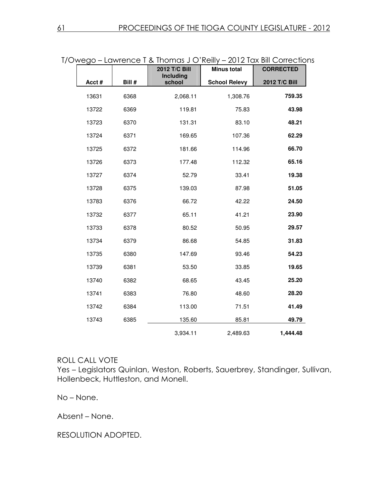| )Wego – Lawrence T & Thomas J O'Rellly – 2012 Tax Bill Correction |                      |                     |        |       |
|-------------------------------------------------------------------|----------------------|---------------------|--------|-------|
| <b>CORRECTED</b>                                                  | <b>Minus total</b>   | 2012 T/C Bill       |        |       |
| 2012 T/C Bill                                                     | <b>School Relevy</b> | Including<br>school | Bill # | Acct# |
| 759.35                                                            | 1,308.76             | 2,068.11            | 6368   | 13631 |
| 43.98                                                             | 75.83                | 119.81              | 6369   | 13722 |
| 48.21                                                             | 83.10                | 131.31              | 6370   | 13723 |
| 62.29                                                             | 107.36               | 169.65              | 6371   | 13724 |
| 66.70                                                             | 114.96               | 181.66              | 6372   | 13725 |
| 65.16                                                             | 112.32               | 177.48              | 6373   | 13726 |
| 19.38                                                             | 33.41                | 52.79               | 6374   | 13727 |
| 51.05                                                             | 87.98                | 139.03              | 6375   | 13728 |
| 24.50                                                             | 42.22                | 66.72               | 6376   | 13783 |
| 23.90                                                             | 41.21                | 65.11               | 6377   | 13732 |
| 29.57                                                             | 50.95                | 80.52               | 6378   | 13733 |
| 31.83                                                             | 54.85                | 86.68               | 6379   | 13734 |
| 54.23                                                             | 93.46                | 147.69              | 6380   | 13735 |
| 19.65                                                             | 33.85                | 53.50               | 6381   | 13739 |
| 25.20                                                             | 43.45                | 68.65               | 6382   | 13740 |
| 28.20                                                             | 48.60                | 76.80               | 6383   | 13741 |
| 41.49                                                             | 71.51                | 113.00              | 6384   | 13742 |
| 49.79                                                             | 85.81                | 135.60              | 6385   | 13743 |
| 1,444.48                                                          | 2,489.63             | 3,934.11            |        |       |

T/Owego – Lawrence T & Thomas J O'Reilly – 2012 Tax Bill Corrections

# ROLL CALL VOTE

Yes – Legislators Quinlan, Weston, Roberts, Sauerbrey, Standinger, Sullivan, Hollenbeck, Huttleston, and Monell.

No – None.

Absent – None.

RESOLUTION ADOPTED.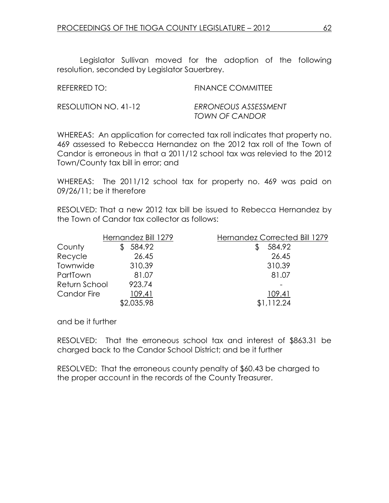Legislator Sullivan moved for the adoption of the following resolution, seconded by Legislator Sauerbrey.

| REFERRED TO:         | <b>FINANCE COMMITTEE</b>               |
|----------------------|----------------------------------------|
| RESOLUTION NO. 41-12 | ERRONEOUS ASSESSMENT<br>TOWN OF CANDOR |

WHEREAS: An application for corrected tax roll indicates that property no. 469 assessed to Rebecca Hernandez on the 2012 tax roll of the Town of Candor is erroneous in that a 2011/12 school tax was relevied to the 2012 Town/County tax bill in error; and

WHEREAS: The 2011/12 school tax for property no. 469 was paid on 09/26/11; be it therefore

RESOLVED: That a new 2012 tax bill be issued to Rebecca Hernandez by the Town of Candor tax collector as follows:

|                    | Hernandez Bill 1279 | Hernandez Corrected Bill 1279 |
|--------------------|---------------------|-------------------------------|
| County             | 584.92              | 584.92                        |
| Recycle            | 26.45               | 26.45                         |
| Townwide           | 310.39              | 310.39                        |
| PartTown           | 81.07               | 81.07                         |
| Return School      | 923.74              |                               |
| <b>Candor Fire</b> | 109.41              | 109.41                        |
|                    | \$2,035.98          | \$1,112.24                    |

and be it further

RESOLVED: That the erroneous school tax and interest of \$863.31 be charged back to the Candor School District; and be it further

RESOLVED: That the erroneous county penalty of \$60.43 be charged to the proper account in the records of the County Treasurer.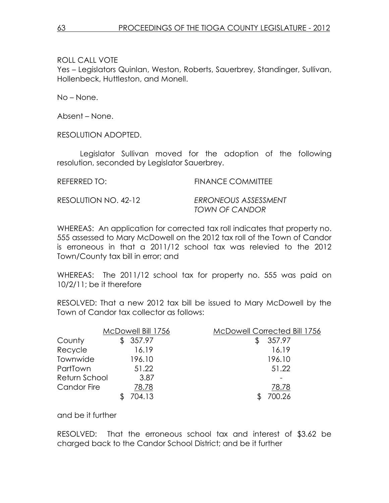Yes – Legislators Quinlan, Weston, Roberts, Sauerbrey, Standinger, Sullivan, Hollenbeck, Huttleston, and Monell.

No – None.

Absent – None.

RESOLUTION ADOPTED.

 Legislator Sullivan moved for the adoption of the following resolution, seconded by Legislator Sauerbrey.

| REFERRED TO:         | <b>FINANCE COMMITTEE</b> |
|----------------------|--------------------------|
| RESOLUTION NO. 42-12 | ERRONEOUS ASSESSMENT     |

TOWN OF CANDOR

WHEREAS: An application for corrected tax roll indicates that property no. 555 assessed to Mary McDowell on the 2012 tax roll of the Town of Candor is erroneous in that a 2011/12 school tax was relevied to the 2012 Town/County tax bill in error; and

WHEREAS: The 2011/12 school tax for property no. 555 was paid on 10/2/11; be it therefore

RESOLVED: That a new 2012 tax bill be issued to Mary McDowell by the Town of Candor tax collector as follows:

|               | McDowell Bill 1756 | McDowell Corrected Bill 1756 |
|---------------|--------------------|------------------------------|
| County        | 357.97             | 357.97                       |
| Recycle       | 16.19              | 16.19                        |
| Townwide      | 196.10             | 196.10                       |
| PartTown      | 51.22              | 51.22                        |
| Return School | 3.87               |                              |
| Candor Fire   | 78.78              | 78.78                        |
|               | 704.13             | 700.26                       |

and be it further

RESOLVED: That the erroneous school tax and interest of \$3.62 be charged back to the Candor School District; and be it further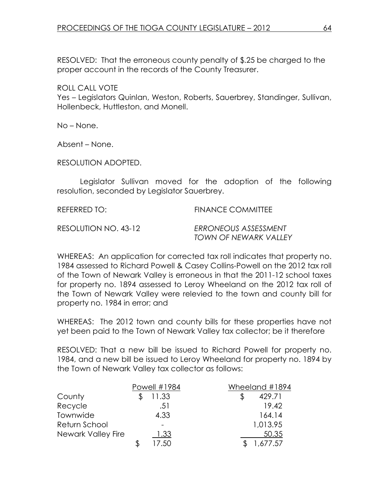RESOLVED: That the erroneous county penalty of \$.25 be charged to the proper account in the records of the County Treasurer.

ROLL CALL VOTE

Yes – Legislators Quinlan, Weston, Roberts, Sauerbrey, Standinger, Sullivan, Hollenbeck, Huttleston, and Monell.

No – None.

Absent – None.

RESOLUTION ADOPTED.

 Legislator Sullivan moved for the adoption of the following resolution, seconded by Legislator Sauerbrey.

REFERRED TO: FINANCE COMMITTEE

RESOLUTION NO. 43-12 FRRONEOUS ASSESSMENT

TOWN OF NEWARK VALLEY

WHEREAS: An application for corrected tax roll indicates that property no. 1984 assessed to Richard Powell & Casey Collins-Powell on the 2012 tax roll of the Town of Newark Valley is erroneous in that the 2011-12 school taxes for property no. 1894 assessed to Leroy Wheeland on the 2012 tax roll of the Town of Newark Valley were relevied to the town and county bill for property no. 1984 in error; and

WHEREAS: The 2012 town and county bills for these properties have not yet been paid to the Town of Newark Valley tax collector; be it therefore

RESOLVED: That a new bill be issued to Richard Powell for property no. 1984, and a new bill be issued to Leroy Wheeland for property no. 1894 by the Town of Newark Valley tax collector as follows:

|                    | Powell #1984 | Wheeland #1894 |
|--------------------|--------------|----------------|
| County             | 11.33        | 429.71         |
| Recycle            | .51          | 19.42          |
| Townwide           | 4.33         | 164.14         |
| Return School      |              | 1,013.95       |
| Newark Valley Fire | 1.33         | 50.35          |
|                    | 17.50        | 1,677.57       |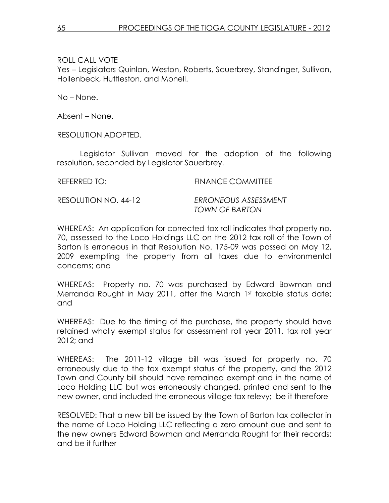Yes – Legislators Quinlan, Weston, Roberts, Sauerbrey, Standinger, Sullivan, Hollenbeck, Huttleston, and Monell.

No – None.

Absent – None.

RESOLUTION ADOPTED.

 Legislator Sullivan moved for the adoption of the following resolution, seconded by Legislator Sauerbrey.

REFERRED TO: FINANCE COMMITTEE

RESOLUTION NO. 44-12 ERRONEOUS ASSESSMENT

TOWN OF BARTON

WHEREAS: An application for corrected tax roll indicates that property no. 70, assessed to the Loco Holdings LLC on the 2012 tax roll of the Town of Barton is erroneous in that Resolution No. 175-09 was passed on May 12, 2009 exempting the property from all taxes due to environmental concerns; and

WHEREAS: Property no. 70 was purchased by Edward Bowman and Merranda Rought in May 2011, after the March 1st taxable status date; and

WHEREAS: Due to the timing of the purchase, the property should have retained wholly exempt status for assessment roll year 2011, tax roll year 2012; and

WHEREAS: The 2011-12 village bill was issued for property no. 70 erroneously due to the tax exempt status of the property, and the 2012 Town and County bill should have remained exempt and in the name of Loco Holding LLC but was erroneously changed, printed and sent to the new owner, and included the erroneous village tax relevy; be it therefore

RESOLVED: That a new bill be issued by the Town of Barton tax collector in the name of Loco Holding LLC reflecting a zero amount due and sent to the new owners Edward Bowman and Merranda Rought for their records; and be it further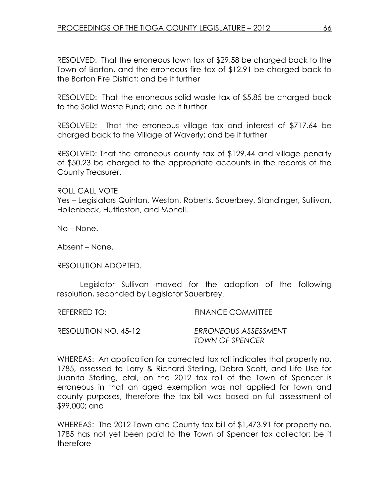RESOLVED: That the erroneous town tax of \$29.58 be charged back to the Town of Barton, and the erroneous fire tax of \$12.91 be charged back to the Barton Fire District; and be it further

RESOLVED: That the erroneous solid waste tax of \$5.85 be charged back to the Solid Waste Fund; and be it further

RESOLVED: That the erroneous village tax and interest of \$717.64 be charged back to the Village of Waverly; and be it further

RESOLVED: That the erroneous county tax of \$129.44 and village penalty of \$50.23 be charged to the appropriate accounts in the records of the County Treasurer.

ROLL CALL VOTE

Yes – Legislators Quinlan, Weston, Roberts, Sauerbrey, Standinger, Sullivan, Hollenbeck, Huttleston, and Monell.

No – None.

Absent – None.

RESOLUTION ADOPTED.

 Legislator Sullivan moved for the adoption of the following resolution, seconded by Legislator Sauerbrey.

REFERRED TO: FINANCE COMMITTEE

RESOLUTION NO. 45-12 ERRONEOUS ASSESSMENT TOWN OF SPENCER

WHEREAS: An application for corrected tax roll indicates that property no. 1785, assessed to Larry & Richard Sterling, Debra Scott, and Life Use for Juanita Sterling, etal, on the 2012 tax roll of the Town of Spencer is erroneous in that an aged exemption was not applied for town and county purposes, therefore the tax bill was based on full assessment of \$99,000; and

WHEREAS: The 2012 Town and County tax bill of \$1,473.91 for property no. 1785 has not yet been paid to the Town of Spencer tax collector; be it therefore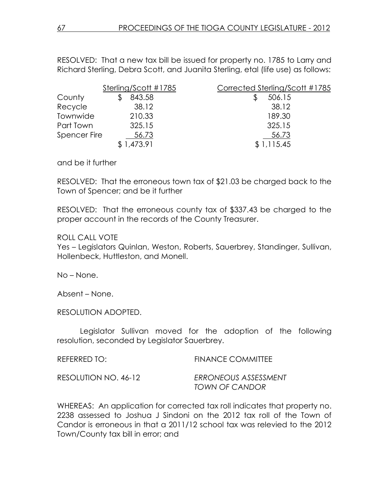RESOLVED: That a new tax bill be issued for property no. 1785 to Larry and Richard Sterling, Debra Scott, and Juanita Sterling, etal (life use) as follows:

|                     | Sterling/Scott #1785 | Corrected Sterling/Scott #1785 |
|---------------------|----------------------|--------------------------------|
| County              | 843.58               | 506.15                         |
| Recycle             | 38.12                | 38.12                          |
| Townwide            | 210.33               | 189.30                         |
| Part Town           | 325.15               | 325.15                         |
| <b>Spencer Fire</b> | 56.73                | 56.73                          |
|                     | \$1,473.91           | \$1,115.45                     |

and be it further

RESOLVED: That the erroneous town tax of \$21.03 be charged back to the Town of Spencer; and be it further

RESOLVED: That the erroneous county tax of \$337.43 be charged to the proper account in the records of the County Treasurer.

#### ROLL CALL VOTE

Yes – Legislators Quinlan, Weston, Roberts, Sauerbrey, Standinger, Sullivan, Hollenbeck, Huttleston, and Monell.

No – None.

Absent – None.

RESOLUTION ADOPTED.

 Legislator Sullivan moved for the adoption of the following resolution, seconded by Legislator Sauerbrey.

| REFERRED TO:         | <b>FINANCE COMMITTEE</b>               |
|----------------------|----------------------------------------|
| RESOLUTION NO. 46-12 | ERRONEOUS ASSESSMENT<br>TOWN OF CANDOR |

WHEREAS: An application for corrected tax roll indicates that property no. 2238 assessed to Joshua J Sindoni on the 2012 tax roll of the Town of Candor is erroneous in that a 2011/12 school tax was relevied to the 2012 Town/County tax bill in error; and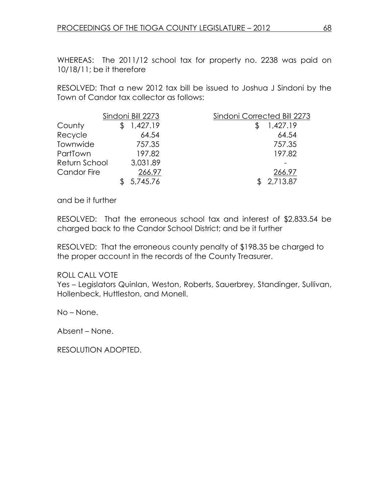WHEREAS: The 2011/12 school tax for property no. 2238 was paid on 10/18/11; be it therefore

RESOLVED: That a new 2012 tax bill be issued to Joshua J Sindoni by the Town of Candor tax collector as follows:

|                    | Sindoni Bill 2273 | Sindoni Corrected Bill 2273 |
|--------------------|-------------------|-----------------------------|
| County             | 1,427.19          | 1,427.19                    |
| Recycle            | 64.54             | 64.54                       |
| Townwide           | 757.35            | 757.35                      |
| PartTown           | 197.82            | 197.82                      |
| Return School      | 3,031.89          |                             |
| <b>Candor Fire</b> | 266.97            | 266.97                      |
|                    | 5,745.76          | 2,713.87                    |

and be it further

RESOLVED: That the erroneous school tax and interest of \$2,833.54 be charged back to the Candor School District; and be it further

RESOLVED: That the erroneous county penalty of \$198.35 be charged to the proper account in the records of the County Treasurer.

### ROLL CALL VOTE

Yes – Legislators Quinlan, Weston, Roberts, Sauerbrey, Standinger, Sullivan, Hollenbeck, Huttleston, and Monell.

No – None.

Absent – None.

RESOLUTION ADOPTED.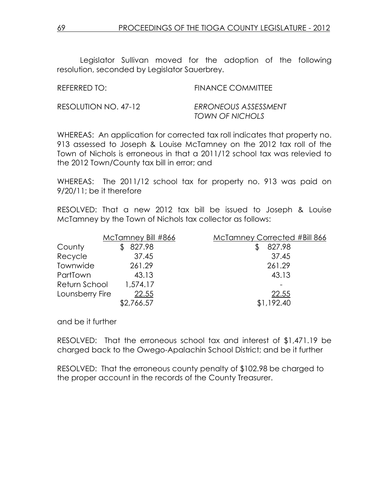Legislator Sullivan moved for the adoption of the following resolution, seconded by Legislator Sauerbrey.

| REFERRED TO:         | <b>FINANCE COMMITTEE</b>                |
|----------------------|-----------------------------------------|
| RESOLUTION NO. 47-12 | ERRONEOUS ASSESSMENT<br>TOWN OF NICHOLS |

WHEREAS: An application for corrected tax roll indicates that property no. 913 assessed to Joseph & Louise McTamney on the 2012 tax roll of the Town of Nichols is erroneous in that a 2011/12 school tax was relevied to the 2012 Town/County tax bill in error; and

WHEREAS: The 2011/12 school tax for property no. 913 was paid on 9/20/11; be it therefore

RESOLVED: That a new 2012 tax bill be issued to Joseph & Louise McTamney by the Town of Nichols tax collector as follows:

|                 | McTamney Bill #866 | McTamney Corrected #Bill 866 |
|-----------------|--------------------|------------------------------|
| County          | 827.98             | 827.98                       |
| Recycle         | 37.45              | 37.45                        |
| Townwide        | 261.29             | 261.29                       |
| PartTown        | 43.13              | 43.13                        |
| Return School   | 1,574.17           |                              |
| Lounsberry Fire | 22.55              | 22.55                        |
|                 | \$2,766.57         | \$1,192.40                   |

and be it further

RESOLVED: That the erroneous school tax and interest of \$1,471.19 be charged back to the Owego-Apalachin School District; and be it further

RESOLVED: That the erroneous county penalty of \$102.98 be charged to the proper account in the records of the County Treasurer.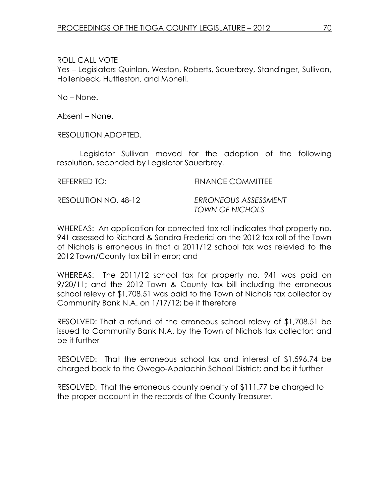Yes – Legislators Quinlan, Weston, Roberts, Sauerbrey, Standinger, Sullivan, Hollenbeck, Huttleston, and Monell.

No – None.

Absent – None.

RESOLUTION ADOPTED.

 Legislator Sullivan moved for the adoption of the following resolution, seconded by Legislator Sauerbrey.

REFERRED TO: FINANCE COMMITTEE

RESOLUTION NO. 48-12 ERRONEOUS ASSESSMENT

TOWN OF NICHOLS

WHEREAS: An application for corrected tax roll indicates that property no. 941 assessed to Richard & Sandra Frederici on the 2012 tax roll of the Town of Nichols is erroneous in that a 2011/12 school tax was relevied to the 2012 Town/County tax bill in error; and

WHEREAS: The 2011/12 school tax for property no. 941 was paid on 9/20/11; and the 2012 Town & County tax bill including the erroneous school relevy of \$1,708.51 was paid to the Town of Nichols tax collector by Community Bank N.A. on 1/17/12; be it therefore

RESOLVED: That a refund of the erroneous school relevy of \$1,708.51 be issued to Community Bank N.A. by the Town of Nichols tax collector; and be it further

RESOLVED: That the erroneous school tax and interest of \$1,596.74 be charged back to the Owego-Apalachin School District; and be it further

RESOLVED: That the erroneous county penalty of \$111.77 be charged to the proper account in the records of the County Treasurer.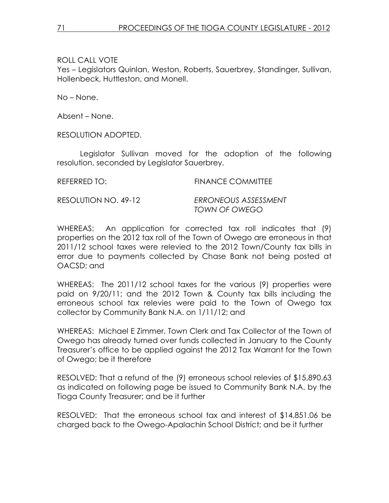Yes – Legislators Quinlan, Weston, Roberts, Sauerbrey, Standinger, Sullivan, Hollenbeck, Huttleston, and Monell.

No – None.

Absent – None.

RESOLUTION ADOPTED.

 Legislator Sullivan moved for the adoption of the following resolution, seconded by Legislator Sauerbrey.

REFERRED TO: FINANCE COMMITTEE

RESOLUTION NO. 49-12 ERRONEOUS ASSESSMENT

TOWN OF OWEGO

WHEREAS: An application for corrected tax roll indicates that (9) properties on the 2012 tax roll of the Town of Owego are erroneous in that 2011/12 school taxes were relevied to the 2012 Town/County tax bills in error due to payments collected by Chase Bank not being posted at OACSD; and

WHEREAS: The 2011/12 school taxes for the various (9) properties were paid on 9/20/11; and the 2012 Town & County tax bills including the erroneous school tax relevies were paid to the Town of Owego tax collector by Community Bank N.A. on 1/11/12; and

WHEREAS: Michael E Zimmer, Town Clerk and Tax Collector of the Town of Owego has already turned over funds collected in January to the County Treasurer's office to be applied against the 2012 Tax Warrant for the Town of Owego; be it therefore

RESOLVED: That a refund of the (9) erroneous school relevies of \$15,890.63 as indicated on following page be issued to Community Bank N.A. by the Tioga County Treasurer; and be it further

RESOLVED: That the erroneous school tax and interest of \$14,851.06 be charged back to the Owego-Apalachin School District; and be it further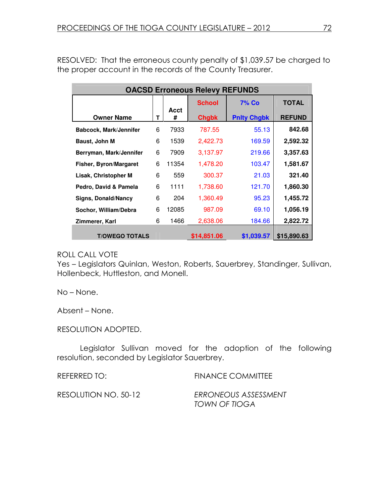RESOLVED: That the erroneous county penalty of \$1,039.57 be charged to the proper account in the records of the County Treasurer.

| <b>OACSD Erroneous Relevy REFUNDS</b> |   |       |               |                    |               |
|---------------------------------------|---|-------|---------------|--------------------|---------------|
|                                       |   | Acct  | <b>School</b> | <b>7% Co</b>       | <b>TOTAL</b>  |
| <b>Owner Name</b>                     | т | #     | <b>Chgbk</b>  | <b>Pnity Chgbk</b> | <b>REFUND</b> |
| <b>Babcock, Mark/Jennifer</b>         | 6 | 7933  | 787.55        | 55.13              | 842.68        |
| Baust, John M                         | 6 | 1539  | 2,422.73      | 169.59             | 2,592.32      |
| Berryman, Mark/Jennifer               | 6 | 7909  | 3,137.97      | 219.66             | 3,357.63      |
| <b>Fisher, Byron/Margaret</b>         | 6 | 11354 | 1,478.20      | 103.47             | 1,581.67      |
| Lisak, Christopher M                  | 6 | 559   | 300.37        | 21.03              | 321.40        |
| Pedro, David & Pamela                 | 6 | 1111  | 1,738.60      | 121.70             | 1,860.30      |
| <b>Signs, Donald/Nancy</b>            | 6 | 204   | 1,360.49      | 95.23              | 1,455.72      |
| Sochor, William/Debra                 | 6 | 12085 | 987.09        | 69.10              | 1,056.19      |
| Zimmerer, Karl                        | 6 | 1466  | 2,638.06      | 184.66             | 2,822.72      |
| <b>T/OWEGO TOTALS</b>                 |   |       | \$14,851.06   | \$1,039.57         | \$15,890.63   |

### ROLL CALL VOTE

Yes – Legislators Quinlan, Weston, Roberts, Sauerbrey, Standinger, Sullivan, Hollenbeck, Huttleston, and Monell.

No – None.

Absent – None.

RESOLUTION ADOPTED.

 Legislator Sullivan moved for the adoption of the following resolution, seconded by Legislator Sauerbrey.

REFERRED TO: FINANCE COMMITTEE

RESOLUTION NO. 50-12 ERRONEOUS ASSESSMENT TOWN OF TIOGA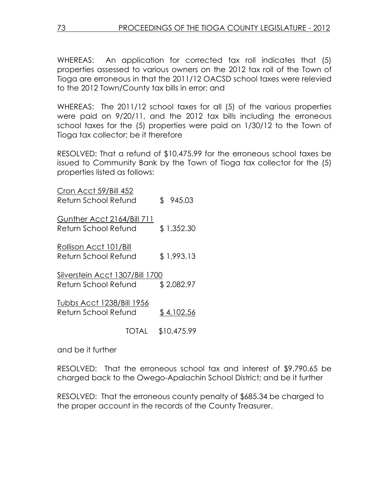WHEREAS: An application for corrected tax roll indicates that (5) properties assessed to various owners on the 2012 tax roll of the Town of Tioga are erroneous in that the 2011/12 OACSD school taxes were relevied to the 2012 Town/County tax bills in error; and

WHEREAS: The 2011/12 school taxes for all (5) of the various properties were paid on 9/20/11, and the 2012 tax bills including the erroneous school taxes for the (5) properties were paid on 1/30/12 to the Town of Tioga tax collector; be it therefore

RESOLVED: That a refund of \$10,475.99 for the erroneous school taxes be issued to Community Bank by the Town of Tioga tax collector for the (5) properties listed as follows:

| Cron Acct 59/Bill 452           |       |             |
|---------------------------------|-------|-------------|
| Return School Refund            |       | \$945.03    |
| Gunther Acct 2164/Bill 711      |       |             |
| Return School Refund            |       | \$1,352.30  |
| Rollison Acct 101/Bill          |       |             |
| Return School Refund            |       | \$1,993.13  |
| Silverstein Acct 1307/Bill 1700 |       |             |
| Return School Refund            |       | \$2,082.97  |
| Tubbs Acct 1238/Bill 1956       |       |             |
| Return School Refund            |       | \$4,102.56  |
|                                 | TOTAL | \$10,475.99 |

and be it further

RESOLVED: That the erroneous school tax and interest of \$9,790.65 be charged back to the Owego-Apalachin School District; and be it further

RESOLVED: That the erroneous county penalty of \$685.34 be charged to the proper account in the records of the County Treasurer.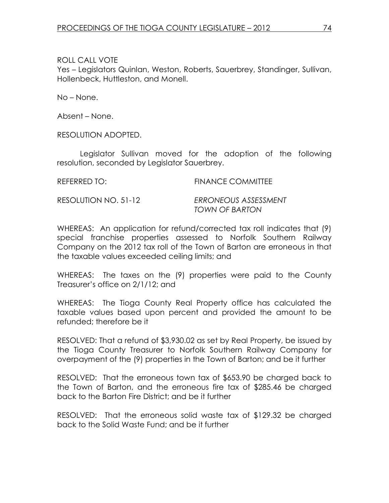Yes – Legislators Quinlan, Weston, Roberts, Sauerbrey, Standinger, Sullivan, Hollenbeck, Huttleston, and Monell.

No – None.

Absent – None.

RESOLUTION ADOPTED.

 Legislator Sullivan moved for the adoption of the following resolution, seconded by Legislator Sauerbrey.

REFERRED TO: FINANCE COMMITTEE

RESOLUTION NO. 51-12 ERRONEOUS ASSESSMENT

TOWN OF BARTON

WHEREAS: An application for refund/corrected tax roll indicates that (9) special franchise properties assessed to Norfolk Southern Railway Company on the 2012 tax roll of the Town of Barton are erroneous in that the taxable values exceeded ceiling limits; and

WHEREAS: The taxes on the (9) properties were paid to the County Treasurer's office on 2/1/12; and

WHEREAS: The Tioga County Real Property office has calculated the taxable values based upon percent and provided the amount to be refunded; therefore be it

RESOLVED: That a refund of \$3,930.02 as set by Real Property, be issued by the Tioga County Treasurer to Norfolk Southern Railway Company for overpayment of the (9) properties in the Town of Barton; and be it further

RESOLVED: That the erroneous town tax of \$653.90 be charged back to the Town of Barton, and the erroneous fire tax of \$285.46 be charged back to the Barton Fire District; and be it further

RESOLVED: That the erroneous solid waste tax of \$129.32 be charged back to the Solid Waste Fund; and be it further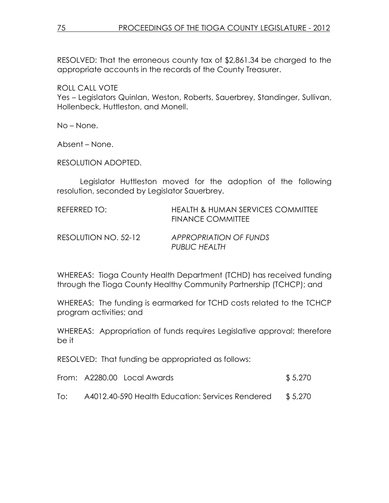RESOLVED: That the erroneous county tax of \$2,861.34 be charged to the appropriate accounts in the records of the County Treasurer.

ROLL CALL VOTE

Yes – Legislators Quinlan, Weston, Roberts, Sauerbrey, Standinger, Sullivan, Hollenbeck, Huttleston, and Monell.

No – None.

Absent – None.

RESOLUTION ADOPTED.

 Legislator Huttleston moved for the adoption of the following resolution, seconded by Legislator Sauerbrey.

| REFERRED TO:         | HEALTH & HUMAN SERVICES COMMITTEE<br><b>FINANCE COMMITTEE</b> |
|----------------------|---------------------------------------------------------------|
| RESOLUTION NO. 52-12 | APPROPRIATION OF FUNDS<br>PUBLIC HEALTH                       |

WHEREAS: Tioga County Health Department (TCHD) has received funding through the Tioga County Healthy Community Partnership (TCHCP); and

WHEREAS: The funding is earmarked for TCHD costs related to the TCHCP program activities; and

WHEREAS: Appropriation of funds requires Legislative approval; therefore be it

RESOLVED: That funding be appropriated as follows:

|  |  | From: A2280.00 Local Awards |  | \$5,270 |
|--|--|-----------------------------|--|---------|
|--|--|-----------------------------|--|---------|

To: A4012.40-590 Health Education: Services Rendered \$ 5,270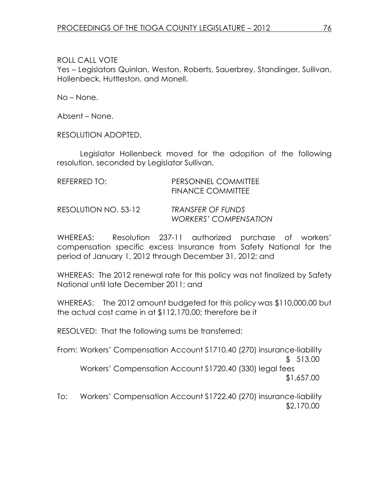Yes – Legislators Quinlan, Weston, Roberts, Sauerbrey, Standinger, Sullivan, Hollenbeck, Huttleston, and Monell.

No – None.

Absent – None.

RESOLUTION ADOPTED.

 Legislator Hollenbeck moved for the adoption of the following resolution, seconded by Legislator Sullivan.

| REFERRED TO:         | PERSONNEL COMMITTEE<br>FINANCE COMMITTEE          |
|----------------------|---------------------------------------------------|
| RESOLUTION NO. 53-12 | TRANSFER OF FUNDS<br><b>WORKERS' COMPENSATION</b> |

WHEREAS: Resolution 237-11 authorized purchase of workers' compensation specific excess Insurance from Safety National for the period of January 1, 2012 through December 31, 2012; and

WHEREAS: The 2012 renewal rate for this policy was not finalized by Safety National until late December 2011; and

WHEREAS: The 2012 amount budgeted for this policy was \$110,000.00 but the actual cost came in at \$112,170.00; therefore be it

RESOLVED: That the following sums be transferred:

From: Workers' Compensation Account S1710.40 (270) insurance-liability \$ 513.00 Workers' Compensation Account S1720.40 (330) legal fees \$1,657.00

To: Workers' Compensation Account S1722.40 (270) insurance-liability \$2,170.00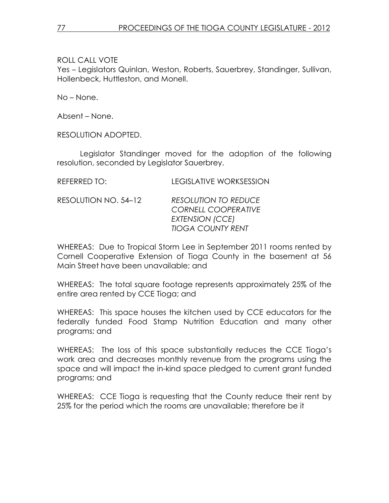Yes – Legislators Quinlan, Weston, Roberts, Sauerbrey, Standinger, Sullivan, Hollenbeck, Huttleston, and Monell.

No – None.

Absent – None.

RESOLUTION ADOPTED.

 Legislator Standinger moved for the adoption of the following resolution, seconded by Legislator Sauerbrey.

| REFERRED TO:         | <b>LEGISLATIVE WORKSESSION</b>                                                                           |
|----------------------|----------------------------------------------------------------------------------------------------------|
| RESOLUTION NO. 54-12 | <b>RESOLUTION TO REDUCE</b><br><b>CORNELL COOPERATIVE</b><br>EXTENSION (CCE)<br><b>TIOGA COUNTY RENT</b> |

WHEREAS: Due to Tropical Storm Lee in September 2011 rooms rented by Cornell Cooperative Extension of Tioga County in the basement at 56 Main Street have been unavailable; and

WHEREAS: The total square footage represents approximately 25% of the entire area rented by CCE Tioga; and

WHEREAS: This space houses the kitchen used by CCE educators for the federally funded Food Stamp Nutrition Education and many other programs; and

WHEREAS: The loss of this space substantially reduces the CCE Tioga's work area and decreases monthly revenue from the programs using the space and will impact the in-kind space pledged to current grant funded programs; and

WHEREAS: CCE Tioga is requesting that the County reduce their rent by 25% for the period which the rooms are unavailable; therefore be it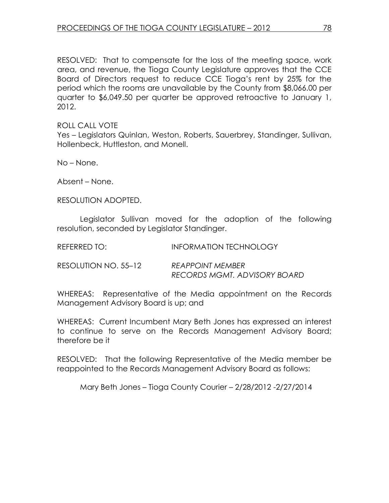RESOLVED: That to compensate for the loss of the meeting space, work area, and revenue, the Tioga County Legislature approves that the CCE Board of Directors request to reduce CCE Tioga's rent by 25% for the period which the rooms are unavailable by the County from \$8,066.00 per quarter to \$6,049.50 per quarter be approved retroactive to January 1, 2012.

ROLL CALL VOTE Yes – Legislators Quinlan, Weston, Roberts, Sauerbrey, Standinger, Sullivan, Hollenbeck, Huttleston, and Monell.

No – None.

Absent – None.

RESOLUTION ADOPTED.

 Legislator Sullivan moved for the adoption of the following resolution, seconded by Legislator Standinger.

| REFERRED TO:         | <b>INFORMATION TECHNOLOGY</b>                           |
|----------------------|---------------------------------------------------------|
| RESOLUTION NO. 55–12 | <b>REAPPOINT MEMBER</b><br>RECORDS MGMT, ADVISORY BOARD |

WHEREAS: Representative of the Media appointment on the Records Management Advisory Board is up; and

WHEREAS: Current Incumbent Mary Beth Jones has expressed an interest to continue to serve on the Records Management Advisory Board; therefore be it

RESOLVED: That the following Representative of the Media member be reappointed to the Records Management Advisory Board as follows:

Mary Beth Jones – Tioga County Courier – 2/28/2012 -2/27/2014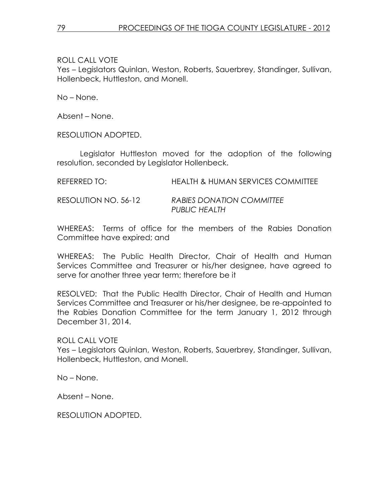Yes – Legislators Quinlan, Weston, Roberts, Sauerbrey, Standinger, Sullivan, Hollenbeck, Huttleston, and Monell.

No – None.

Absent – None.

RESOLUTION ADOPTED.

 Legislator Huttleston moved for the adoption of the following resolution, seconded by Legislator Hollenbeck.

| REFERRED TO:         | <b>HEALTH &amp; HUMAN SERVICES COMMITTEE</b> |
|----------------------|----------------------------------------------|
| RESOLUTION NO. 56-12 | RABIES DONATION COMMITTEE<br>PUBLIC HEALTH   |

WHEREAS: Terms of office for the members of the Rabies Donation Committee have expired; and

WHEREAS: The Public Health Director, Chair of Health and Human Services Committee and Treasurer or his/her designee, have agreed to serve for another three year term; therefore be it

RESOLVED: That the Public Health Director, Chair of Health and Human Services Committee and Treasurer or his/her designee, be re-appointed to the Rabies Donation Committee for the term January 1, 2012 through December 31, 2014.

ROLL CALL VOTE Yes – Legislators Quinlan, Weston, Roberts, Sauerbrey, Standinger, Sullivan, Hollenbeck, Huttleston, and Monell.

No – None.

Absent – None.

RESOLUTION ADOPTED.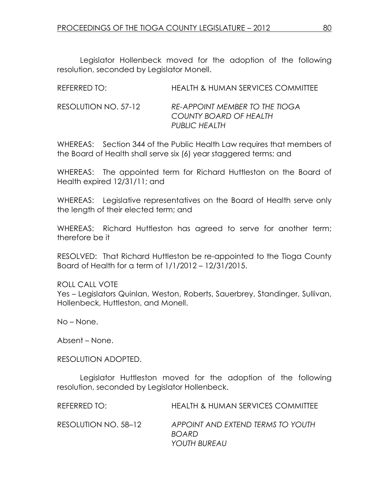Legislator Hollenbeck moved for the adoption of the following resolution, seconded by Legislator Monell.

| REFERRED TO:         | <b>HEALTH &amp; HUMAN SERVICES COMMITTEE</b>                              |
|----------------------|---------------------------------------------------------------------------|
| RESOLUTION NO. 57-12 | RE-APPOINT MEMBER TO THE TIOGA<br>COUNTY BOARD OF HEALTH<br>PUBLIC HEALTH |

WHEREAS: Section 344 of the Public Health Law requires that members of the Board of Health shall serve six (6) year staggered terms; and

WHEREAS: The appointed term for Richard Huttleston on the Board of Health expired 12/31/11; and

WHEREAS: Legislative representatives on the Board of Health serve only the length of their elected term; and

WHEREAS: Richard Huttleston has agreed to serve for another term; therefore be it

RESOLVED: That Richard Huttleston be re-appointed to the Tioga County Board of Health for a term of 1/1/2012 – 12/31/2015.

ROLL CALL VOTE Yes – Legislators Quinlan, Weston, Roberts, Sauerbrey, Standinger, Sullivan, Hollenbeck, Huttleston, and Monell.

No – None.

Absent – None.

RESOLUTION ADOPTED.

 Legislator Huttleston moved for the adoption of the following resolution, seconded by Legislator Hollenbeck.

| REFERRED TO:         | <b>HEALTH &amp; HUMAN SERVICES COMMITTEE</b>                      |
|----------------------|-------------------------------------------------------------------|
| RESOLUTION NO. 58–12 | APPOINT AND EXTEND TERMS TO YOUTH<br><b>BOARD</b><br>YOUTH BUREAU |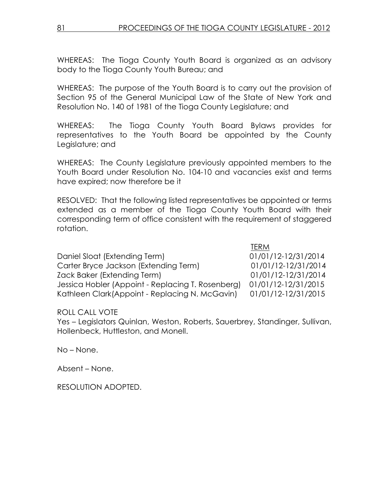WHEREAS: The Tioga County Youth Board is organized as an advisory body to the Tioga County Youth Bureau; and

WHEREAS: The purpose of the Youth Board is to carry out the provision of Section 95 of the General Municipal Law of the State of New York and Resolution No. 140 of 1981 of the Tioga County Legislature; and

WHEREAS: The Tioga County Youth Board Bylaws provides for representatives to the Youth Board be appointed by the County Legislature; and

WHEREAS: The County Legislature previously appointed members to the Youth Board under Resolution No. 104-10 and vacancies exist and terms have expired; now therefore be it

RESOLVED: That the following listed representatives be appointed or terms extended as a member of the Tioga County Youth Board with their corresponding term of office consistent with the requirement of staggered rotation.

the contract of the contract of the contract of the contract of the contract of the contract of the contract of the contract of the contract of the contract of the contract of the contract of the contract of the contract o Daniel Sloat (Extending Term) 01/01/12-12/31/2014 Carter Bryce Jackson (Extending Term) 01/01/12-12/31/2014 Zack Baker (Extending Term) 01/01/12-12/31/2014 Jessica Hobler (Appoint - Replacing T. Rosenberg) 01/01/12-12/31/2015 Kathleen Clark(Appoint - Replacing N. McGavin) 01/01/12-12/31/2015

ROLL CALL VOTE

Yes – Legislators Quinlan, Weston, Roberts, Sauerbrey, Standinger, Sullivan, Hollenbeck, Huttleston, and Monell.

No – None.

Absent – None.

RESOLUTION ADOPTED.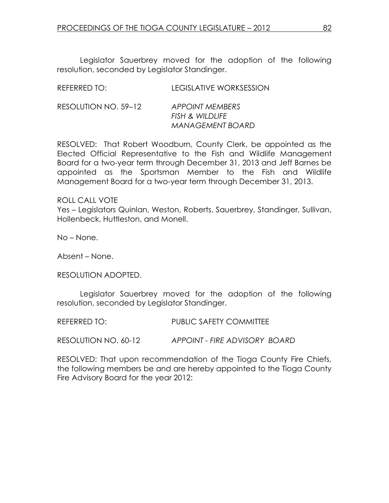Legislator Sauerbrey moved for the adoption of the following resolution, seconded by Legislator Standinger.

| REFERRED TO:         | <b>LEGISLATIVE WORKSESSION</b>                                |
|----------------------|---------------------------------------------------------------|
| RESOLUTION NO. 59-12 | APPOINT MEMBERS<br>FISH & WILDLIFE<br><b>MANAGEMENT BOARD</b> |

RESOLVED: That Robert Woodburn, County Clerk, be appointed as the Elected Official Representative to the Fish and Wildlife Management Board for a two-year term through December 31, 2013 and Jeff Barnes be appointed as the Sportsman Member to the Fish and Wildlife Management Board for a two-year term through December 31, 2013.

ROLL CALL VOTE

Yes – Legislators Quinlan, Weston, Roberts, Sauerbrey, Standinger, Sullivan, Hollenbeck, Huttleston, and Monell.

No – None.

Absent – None.

RESOLUTION ADOPTED.

 Legislator Sauerbrey moved for the adoption of the following resolution, seconded by Legislator Standinger.

REFERRED TO: PUBLIC SAFETY COMMITTEE

RESOLUTION NO. 60-12 APPOINT - FIRE ADVISORY BOARD

RESOLVED: That upon recommendation of the Tioga County Fire Chiefs, the following members be and are hereby appointed to the Tioga County Fire Advisory Board for the year 2012: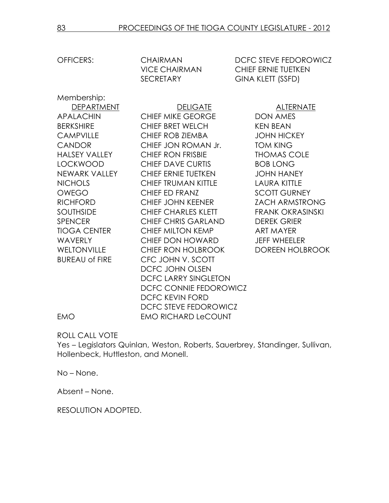OFFICERS: CHAIRMAN DCFC STEVE FEDOROWICZ VICE CHAIRMAN CHIEF ERNIE TUETKEN SECRETARY GINA KLETT (SSFD)

Membership: BUREAU of FIRE CFC JOHN V. SCOTT

DEPARTMENT DELIGATE DELIGATE ALTERNATE APALACHIN CHIEF MIKE GEORGE DON AMES BERKSHIRE CHIEF BRET WELCH KEN BEAN CAMPVILLE CHIEF ROB ZIEMBA JOHN HICKEY CANDOR CHIEF JON ROMAN Jr. TOM KING HALSEY VALLEY CHIEF RON FRISBIE THOMAS COLE LOCKWOOD CHIEF DAVE CURTIS BOB LONG NEWARK VALLEY CHIEF ERNIE TUETKEN JOHN HANEY NICHOLS CHIEF TRUMAN KITTLE LAURA KITTLE OWEGO CHIEF ED FRANZ SCOTT GURNEY RICHFORD CHIEF JOHN KEENER ZACH ARMSTRONG SOUTHSIDE CHIEF CHARLES KLETT FRANK OKRASINSKI SPENCER CHIEF CHRIS GARLAND DEREK GRIER TIOGA CENTER CHIEF MILTON KEMP ART MAYER WAVERLY CHIEF DON HOWARD JEFF WHEELER WELTONVILLE CHIEF RON HOLBROOK DOREEN HOLBROOK DCFC JOHN OLSEN DCFC LARRY SINGLETON DCFC CONNIE FEDOROWICZ DCFC KEVIN FORD DCFC STEVE FEDOROWICZ EMO EMO RICHARD LeCOUNT

ROLL CALL VOTE

Yes – Legislators Quinlan, Weston, Roberts, Sauerbrey, Standinger, Sullivan, Hollenbeck, Huttleston, and Monell.

No – None.

Absent – None.

RESOLUTION ADOPTED.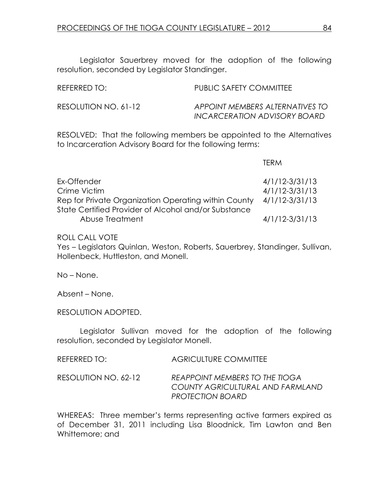Legislator Sauerbrey moved for the adoption of the following resolution, seconded by Legislator Standinger.

| REFERRED TO:         | PUBLIC SAFETY COMMITTEE                                         |
|----------------------|-----------------------------------------------------------------|
| RESOLUTION NO. 61-12 | APPOINT MEMBERS ALTERNATIVES TO<br>INCARCERATION ADVISORY BOARD |

RESOLVED: That the following members be appointed to the Alternatives to Incarceration Advisory Board for the following terms:

|                                                      | <b>TFRM</b>        |
|------------------------------------------------------|--------------------|
| Ex-Offender                                          | $4/1/12 - 3/31/13$ |
| Crime Victim                                         | $4/1/12 - 3/31/13$ |
| Rep for Private Organization Operating within County | 4/1/12-3/31/13     |
| State Certified Provider of Alcohol and/or Substance |                    |
| Abuse Treatment                                      | $4/1/12 - 3/31/13$ |

ROLL CALL VOTE

Yes – Legislators Quinlan, Weston, Roberts, Sauerbrey, Standinger, Sullivan, Hollenbeck, Huttleston, and Monell.

No – None.

Absent – None.

RESOLUTION ADOPTED.

 Legislator Sullivan moved for the adoption of the following resolution, seconded by Legislator Monell.

| REFERRED TO: | <b>AGRICULTURE COMMITTEE</b> |
|--------------|------------------------------|
|              |                              |

RESOLUTION NO. 62-12 REAPPOINT MEMBERS TO THE TIOGA COUNTY AGRICULTURAL AND FARMLAND PROTECTION BOARD

WHEREAS: Three member's terms representing active farmers expired as of December 31, 2011 including Lisa Bloodnick, Tim Lawton and Ben Whittemore; and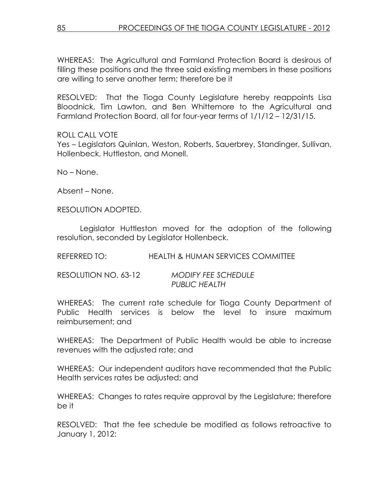WHEREAS: The Agricultural and Farmland Protection Board is desirous of filling these positions and the three said existing members in these positions are willing to serve another term; therefore be it

RESOLVED: That the Tioga County Legislature hereby reappoints Lisa Bloodnick, Tim Lawton, and Ben Whittemore to the Agricultural and Farmland Protection Board, all for four-year terms of 1/1/12 – 12/31/15.

ROLL CALL VOTE Yes – Legislators Quinlan, Weston, Roberts, Sauerbrey, Standinger, Sullivan, Hollenbeck, Huttleston, and Monell.

No – None.

Absent – None.

RESOLUTION ADOPTED.

 Legislator Huttleston moved for the adoption of the following resolution, seconded by Legislator Hollenbeck.

REFERRED TO: HEALTH & HUMAN SERVICES COMMITTEE

| RESOLUTION NO. 63-12 | <b>MODIFY FEE SCHEDULE</b> |
|----------------------|----------------------------|
|                      | <b>PUBLIC HEALTH</b>       |

WHEREAS: The current rate schedule for Tioga County Department of Public Health services is below the level to insure maximum reimbursement; and

WHEREAS: The Department of Public Health would be able to increase revenues with the adjusted rate; and

WHEREAS: Our independent auditors have recommended that the Public Health services rates be adjusted; and

WHEREAS: Changes to rates require approval by the Legislature; therefore be it

RESOLVED: That the fee schedule be modified as follows retroactive to January 1, 2012: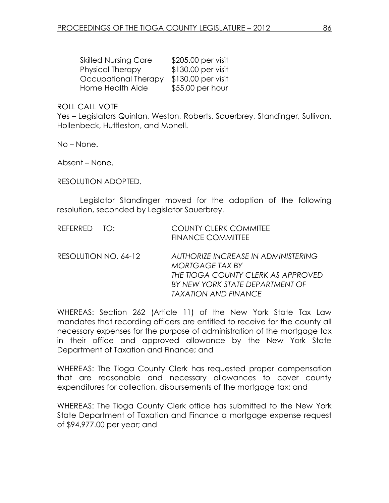| <b>Skilled Nursing Care</b> | \$205.00 per visit |
|-----------------------------|--------------------|
| Physical Therapy            | \$130.00 per visit |
| Occupational Therapy        | \$130.00 per visit |
| Home Health Aide            | \$55.00 per hour   |

Yes – Legislators Quinlan, Weston, Roberts, Sauerbrey, Standinger, Sullivan, Hollenbeck, Huttleston, and Monell.

No – None.

Absent – None.

RESOLUTION ADOPTED.

 Legislator Standinger moved for the adoption of the following resolution, seconded by Legislator Sauerbrey.

| REFERRED TO:         | <b>COUNTY CLERK COMMITEE</b><br><b>FINANCE COMMITTEE</b>                                                                                                              |
|----------------------|-----------------------------------------------------------------------------------------------------------------------------------------------------------------------|
| RESOLUTION NO. 64-12 | AUTHORIZE INCREASE IN ADMINISTERING<br>MORTGAGE TAX BY<br>THE TIOGA COUNTY CLERK AS APPROVED<br>BY NEW YORK STATE DEPARTMENT OF<br><b><i>TAXATION AND FINANCE</i></b> |

WHEREAS: Section 262 (Article 11) of the New York State Tax Law mandates that recording officers are entitled to receive for the county all necessary expenses for the purpose of administration of the mortgage tax in their office and approved allowance by the New York State Department of Taxation and Finance; and

WHEREAS: The Tioga County Clerk has requested proper compensation that are reasonable and necessary allowances to cover county expenditures for collection, disbursements of the mortgage tax; and

WHEREAS: The Tioga County Clerk office has submitted to the New York State Department of Taxation and Finance a mortgage expense request of \$94,977.00 per year; and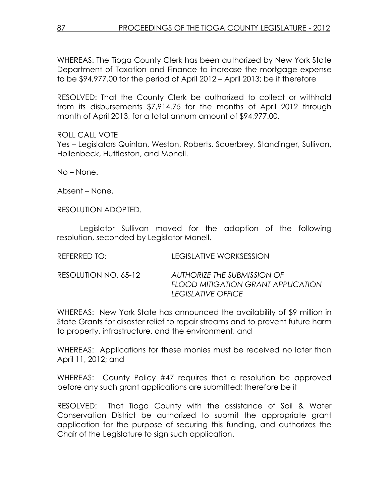WHEREAS: The Tioga County Clerk has been authorized by New York State Department of Taxation and Finance to increase the mortgage expense to be \$94,977.00 for the period of April 2012 – April 2013; be it therefore

RESOLVED: That the County Clerk be authorized to collect or withhold from its disbursements \$7,914.75 for the months of April 2012 through month of April 2013, for a total annum amount of \$94,977.00.

ROLL CALL VOTE Yes – Legislators Quinlan, Weston, Roberts, Sauerbrey, Standinger, Sullivan, Hollenbeck, Huttleston, and Monell.

No – None.

Absent – None.

RESOLUTION ADOPTED.

 Legislator Sullivan moved for the adoption of the following resolution, seconded by Legislator Monell.

| REFERRED TO:         | LEGISLATIVE WORKSESSION                                                                         |
|----------------------|-------------------------------------------------------------------------------------------------|
| RESOLUTION NO. 65-12 | AUTHORIZE THE SUBMISSION OF<br><b>FLOOD MITIGATION GRANT APPLICATION</b><br>TEGISI ATIVE OFFICE |

WHEREAS: New York State has announced the availability of \$9 million in State Grants for disaster relief to repair streams and to prevent future harm to property, infrastructure, and the environment; and

WHEREAS: Applications for these monies must be received no later than April 11, 2012; and

WHEREAS: County Policy #47 requires that a resolution be approved before any such grant applications are submitted; therefore be it

RESOLVED: That Tioga County with the assistance of Soil & Water Conservation District be authorized to submit the appropriate grant application for the purpose of securing this funding, and authorizes the Chair of the Legislature to sign such application.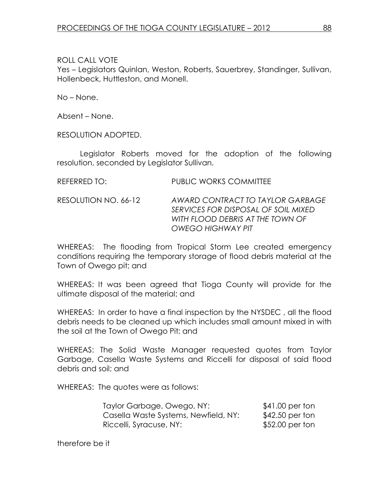Yes – Legislators Quinlan, Weston, Roberts, Sauerbrey, Standinger, Sullivan, Hollenbeck, Huttleston, and Monell.

No – None.

Absent – None.

RESOLUTION ADOPTED.

 Legislator Roberts moved for the adoption of the following resolution, seconded by Legislator Sullivan.

RESOLUTION NO. 66-12 AWARD CONTRACT TO TAYLOR GARBAGE SERVICES FOR DISPOSAL OF SOIL MIXED WITH FLOOD DEBRIS AT THE TOWN OF OWEGO HIGHWAY PIT

WHEREAS: The flooding from Tropical Storm Lee created emergency conditions requiring the temporary storage of flood debris material at the Town of Owego pit; and

WHEREAS: It was been agreed that Tioga County will provide for the ultimate disposal of the material; and

WHEREAS: In order to have a final inspection by the NYSDEC , all the flood debris needs to be cleaned up which includes small amount mixed in with the soil at the Town of Owego Pit; and

WHEREAS: The Solid Waste Manager requested quotes from Taylor Garbage, Casella Waste Systems and Riccelli for disposal of said flood debris and soil; and

WHEREAS: The quotes were as follows:

| Taylor Garbage, Owego, NY:           | \$41.00 per ton  |
|--------------------------------------|------------------|
| Casella Waste Systems, Newfield, NY: | \$42.50 per ton  |
| Riccelli, Syracuse, NY:              | $$52.00$ per ton |

therefore be it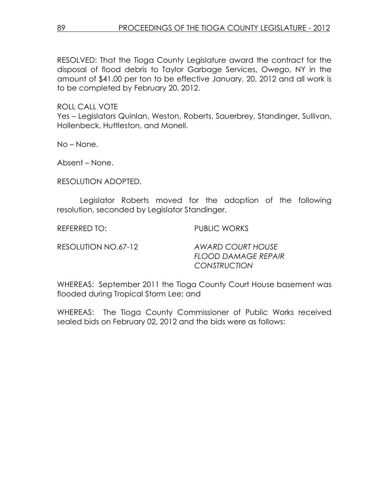RESOLVED: That the Tioga County Legislature award the contract for the disposal of flood debris to Taylor Garbage Services, Owego, NY in the amount of \$41.00 per ton to be effective January, 20, 2012 and all work is to be completed by February 20, 2012.

ROLL CALL VOTE

Yes – Legislators Quinlan, Weston, Roberts, Sauerbrey, Standinger, Sullivan, Hollenbeck, Huttleston, and Monell.

No – None.

Absent – None.

RESOLUTION ADOPTED.

 Legislator Roberts moved for the adoption of the following resolution, seconded by Legislator Standinger.

REFERRED TO: PUBLIC WORKS

RESOLUTION NO.67-12 AWARD COURT HOUSE FLOOD DAMAGE REPAIR **CONSTRUCTION** 

WHEREAS: September 2011 the Tioga County Court House basement was flooded during Tropical Storm Lee; and

WHEREAS: The Tioga County Commissioner of Public Works received sealed bids on February 02, 2012 and the bids were as follows: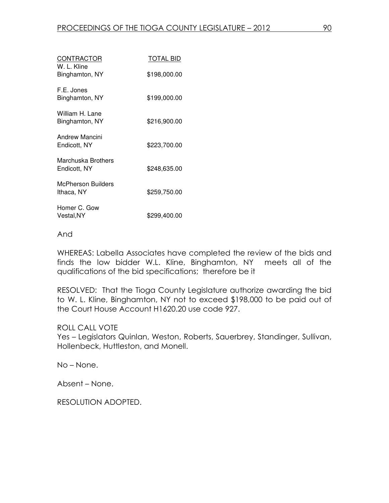| CONTRACTOR<br>W. L. Kline          | TOTAL BID    |
|------------------------------------|--------------|
| Binghamton, NY                     | \$198,000.00 |
| F.E. Jones<br>Binghamton, NY       | \$199,000.00 |
| William H. Lane<br>Binghamton, NY  | \$216,900.00 |
| Andrew Mancini<br>Endicott, NY     | \$223,700.00 |
| Marchuska Brothers<br>Endicott, NY | \$248,635.00 |
| McPherson Builders<br>Ithaca, NY   | \$259,750.00 |
| Homer C. Gow<br>Vestal,NY          | \$299,400.00 |

#### And

WHEREAS: Labella Associates have completed the review of the bids and finds the low bidder W.L. Kline, Binghamton, NY meets all of the qualifications of the bid specifications; therefore be it

RESOLVED: That the Tioga County Legislature authorize awarding the bid to W. L. Kline, Binghamton, NY not to exceed \$198,000 to be paid out of the Court House Account H1620.20 use code 927.

### ROLL CALL VOTE

Yes – Legislators Quinlan, Weston, Roberts, Sauerbrey, Standinger, Sullivan, Hollenbeck, Huttleston, and Monell.

No – None.

Absent – None.

RESOLUTION ADOPTED.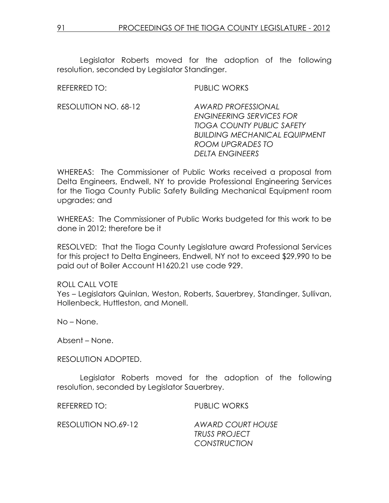Legislator Roberts moved for the adoption of the following resolution, seconded by Legislator Standinger.

| REFERRED TO:         | PUBLIC WORKS                                                                                                                                                                            |
|----------------------|-----------------------------------------------------------------------------------------------------------------------------------------------------------------------------------------|
| RESOLUTION NO. 68-12 | <b>AWARD PROFESSIONAL</b><br><b>ENGINEERING SERVICES FOR</b><br><b>TIOGA COUNTY PUBLIC SAFETY</b><br><b>BUILDING MECHANICAL EQUIPMENT</b><br>ROOM UPGRADES TO<br><b>DELTA ENGINEERS</b> |

WHEREAS: The Commissioner of Public Works received a proposal from Delta Engineers, Endwell, NY to provide Professional Engineering Services for the Tioga County Public Safety Building Mechanical Equipment room upgrades; and

WHEREAS: The Commissioner of Public Works budgeted for this work to be done in 2012; therefore be it

RESOLVED: That the Tioga County Legislature award Professional Services for this project to Delta Engineers, Endwell, NY not to exceed \$29,990 to be paid out of Boiler Account H1620.21 use code 929.

ROLL CALL VOTE Yes – Legislators Quinlan, Weston, Roberts, Sauerbrey, Standinger, Sullivan, Hollenbeck, Huttleston, and Monell.

No – None.

Absent – None.

RESOLUTION ADOPTED.

 Legislator Roberts moved for the adoption of the following resolution, seconded by Legislator Sauerbrey.

REFERRED TO: PUBLIC WORKS

RESOLUTION NO.69-12 AWARD COURT HOUSE

TRUSS PROJECT **CONSTRUCTION**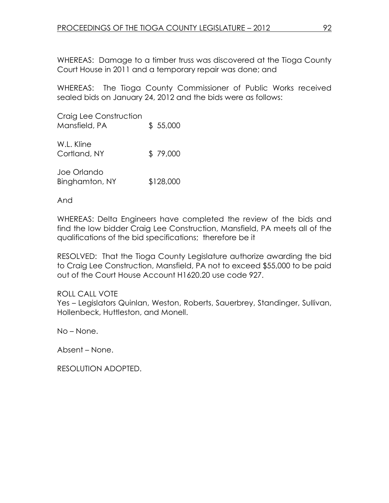WHEREAS: Damage to a timber truss was discovered at the Tioga County Court House in 2011 and a temporary repair was done; and

WHEREAS: The Tioga County Commissioner of Public Works received sealed bids on January 24, 2012 and the bids were as follows:

Craig Lee Construction Mansfield, PA  $$ 55,000$ 

W.L. Kline Cortland, NY \$ 79,000

Joe Orlando Binghamton, NY \$128,000

And

WHEREAS: Delta Engineers have completed the review of the bids and find the low bidder Craig Lee Construction, Mansfield, PA meets all of the qualifications of the bid specifications; therefore be it

RESOLVED: That the Tioga County Legislature authorize awarding the bid to Craig Lee Construction, Mansfield, PA not to exceed \$55,000 to be paid out of the Court House Account H1620.20 use code 927.

# ROLL CALL VOTE

Yes – Legislators Quinlan, Weston, Roberts, Sauerbrey, Standinger, Sullivan, Hollenbeck, Huttleston, and Monell.

No – None.

Absent – None.

RESOLUTION ADOPTED.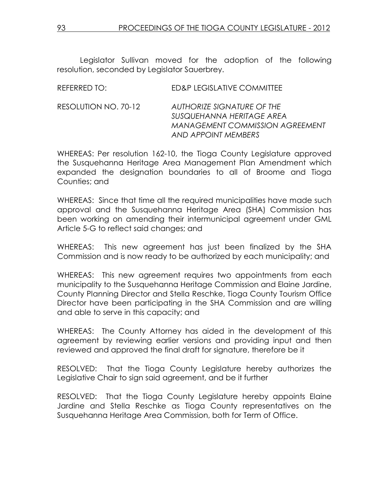Legislator Sullivan moved for the adoption of the following resolution, seconded by Legislator Sauerbrey.

| REFERRED TO:         | ED&P LEGISLATIVE COMMITTEE                                                                                               |
|----------------------|--------------------------------------------------------------------------------------------------------------------------|
| RESOLUTION NO. 70-12 | AUTHORIZE SIGNATURE OF THE<br>SUSQUEHANNA HERITAGE AREA<br><b>MANAGEMENT COMMISSION AGREEMENT</b><br>AND APPOINT MEMBERS |

WHEREAS: Per resolution 162-10, the Tioga County Legislature approved the Susquehanna Heritage Area Management Plan Amendment which expanded the designation boundaries to all of Broome and Tioga Counties; and

WHEREAS: Since that time all the required municipalities have made such approval and the Susquehanna Heritage Area (SHA) Commission has been working on amending their intermunicipal agreement under GML Article 5-G to reflect said changes; and

WHEREAS: This new agreement has just been finalized by the SHA Commission and is now ready to be authorized by each municipality; and

WHEREAS: This new agreement requires two appointments from each municipality to the Susquehanna Heritage Commission and Elaine Jardine, County Planning Director and Stella Reschke, Tioga County Tourism Office Director have been participating in the SHA Commission and are willing and able to serve in this capacity; and

WHEREAS: The County Attorney has aided in the development of this agreement by reviewing earlier versions and providing input and then reviewed and approved the final draft for signature, therefore be it

RESOLVED: That the Tioga County Legislature hereby authorizes the Legislative Chair to sign said agreement, and be it further

RESOLVED: That the Tioga County Legislature hereby appoints Elaine Jardine and Stella Reschke as Tioga County representatives on the Susquehanna Heritage Area Commission, both for Term of Office.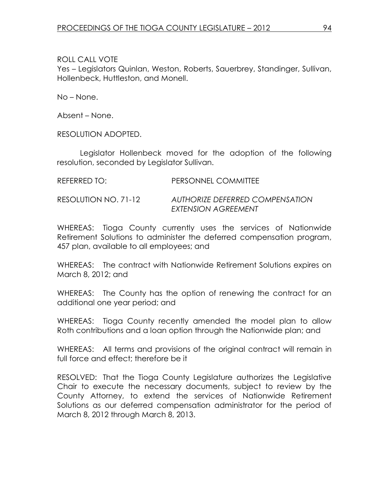Yes – Legislators Quinlan, Weston, Roberts, Sauerbrey, Standinger, Sullivan, Hollenbeck, Huttleston, and Monell.

No – None.

Absent – None.

RESOLUTION ADOPTED.

 Legislator Hollenbeck moved for the adoption of the following resolution, seconded by Legislator Sullivan.

| REFERRED TO:         | PERSONNEL COMMITTEE                                    |
|----------------------|--------------------------------------------------------|
| RESOLUTION NO. 71-12 | AUTHORIZE DEFERRED COMPENSATION<br>EXTENSION AGREEMENT |

WHEREAS: Tioga County currently uses the services of Nationwide Retirement Solutions to administer the deferred compensation program, 457 plan, available to all employees; and

WHEREAS: The contract with Nationwide Retirement Solutions expires on March 8, 2012; and

WHEREAS: The County has the option of renewing the contract for an additional one year period; and

WHEREAS: Tioga County recently amended the model plan to allow Roth contributions and a loan option through the Nationwide plan; and

WHEREAS: All terms and provisions of the original contract will remain in full force and effect; therefore be it

RESOLVED: That the Tioga County Legislature authorizes the Legislative Chair to execute the necessary documents, subject to review by the County Attorney, to extend the services of Nationwide Retirement Solutions as our deferred compensation administrator for the period of March 8, 2012 through March 8, 2013.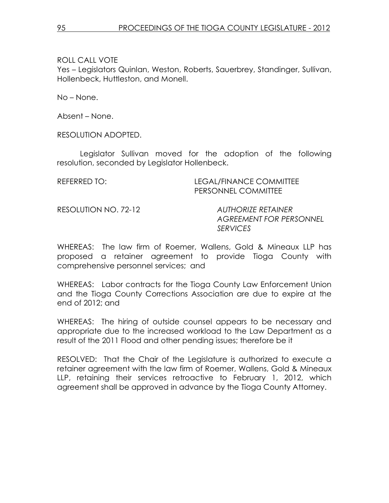Yes – Legislators Quinlan, Weston, Roberts, Sauerbrey, Standinger, Sullivan, Hollenbeck, Huttleston, and Monell.

No – None.

Absent – None.

RESOLUTION ADOPTED.

 Legislator Sullivan moved for the adoption of the following resolution, seconded by Legislator Hollenbeck.

REFERRED TO: LEGAL/FINANCE COMMITTEE PERSONNEL COMMITTEE

RESOLUTION NO. 72-12 AUTHORIZE RETAINER

AGREEMENT FOR PERSONNEL SERVICES

WHEREAS: The law firm of Roemer, Wallens, Gold & Mineaux LLP has proposed a retainer agreement to provide Tioga County with comprehensive personnel services; and

WHEREAS: Labor contracts for the Tioga County Law Enforcement Union and the Tioga County Corrections Association are due to expire at the end of 2012; and

WHEREAS: The hiring of outside counsel appears to be necessary and appropriate due to the increased workload to the Law Department as a result of the 2011 Flood and other pending issues; therefore be it

RESOLVED: That the Chair of the Legislature is authorized to execute a retainer agreement with the law firm of Roemer, Wallens, Gold & Mineaux LLP, retaining their services retroactive to February 1, 2012, which agreement shall be approved in advance by the Tioga County Attorney.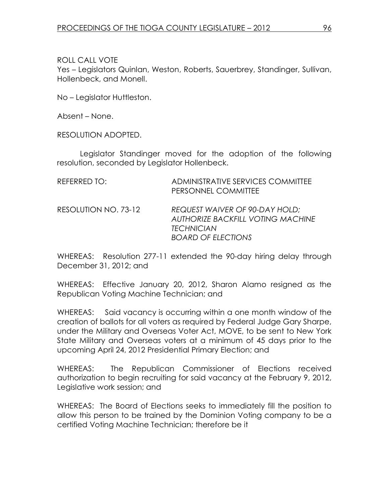Yes – Legislators Quinlan, Weston, Roberts, Sauerbrey, Standinger, Sullivan, Hollenbeck, and Monell.

No – Legislator Huttleston.

Absent – None.

RESOLUTION ADOPTED.

 Legislator Standinger moved for the adoption of the following resolution, seconded by Legislator Hollenbeck.

| REFERRED TO:         | ADMINISTRATIVE SERVICES COMMITTEE<br>PERSONNEL COMMITTEE                                                                            |
|----------------------|-------------------------------------------------------------------------------------------------------------------------------------|
| RESOLUTION NO. 73-12 | <b>REQUEST WAIVER OF 90-DAY HOLD;</b><br><b>AUTHORIZE BACKFILL VOTING MACHINE</b><br><b>TECHNICIAN</b><br><b>BOARD OF ELECTIONS</b> |

WHEREAS: Resolution 277-11 extended the 90-day hiring delay through December 31, 2012; and

WHEREAS: Effective January 20, 2012, Sharon Alamo resigned as the Republican Voting Machine Technician; and

WHEREAS: Said vacancy is occurring within a one month window of the creation of ballots for all voters as required by Federal Judge Gary Sharpe, under the Military and Overseas Voter Act, MOVE, to be sent to New York State Military and Overseas voters at a minimum of 45 days prior to the upcoming April 24, 2012 Presidential Primary Election; and

WHEREAS: The Republican Commissioner of Elections received authorization to begin recruiting for said vacancy at the February 9, 2012, Legislative work session; and

WHEREAS: The Board of Elections seeks to immediately fill the position to allow this person to be trained by the Dominion Voting company to be a certified Voting Machine Technician; therefore be it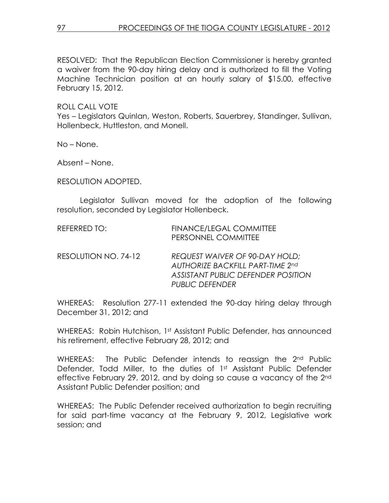RESOLVED: That the Republican Election Commissioner is hereby granted a waiver from the 90-day hiring delay and is authorized to fill the Voting Machine Technician position at an hourly salary of \$15.00, effective February 15, 2012.

ROLL CALL VOTE

Yes – Legislators Quinlan, Weston, Roberts, Sauerbrey, Standinger, Sullivan, Hollenbeck, Huttleston, and Monell.

No – None.

Absent – None.

RESOLUTION ADOPTED.

 Legislator Sullivan moved for the adoption of the following resolution, seconded by Legislator Hollenbeck.

| REFERRED TO:         | FINANCE/LEGAL COMMITTEE<br>PERSONNEL COMMITTEE                                                                                            |
|----------------------|-------------------------------------------------------------------------------------------------------------------------------------------|
| RESOLUTION NO. 74-12 | REQUEST WAIVER OF 90-DAY HOLD;<br><b>AUTHORIZE BACKFILL PART-TIME 2nd</b><br>ASSISTANT PUBLIC DEFENDER POSITION<br><b>PUBLIC DEFENDER</b> |

WHEREAS: Resolution 277-11 extended the 90-day hiring delay through December 31, 2012; and

WHEREAS: Robin Hutchison, 1st Assistant Public Defender, has announced his retirement, effective February 28, 2012; and

WHEREAS: The Public Defender intends to reassign the 2<sup>nd</sup> Public Defender, Todd Miller, to the duties of 1st Assistant Public Defender effective February 29, 2012, and by doing so cause a vacancy of the 2<sup>nd</sup> Assistant Public Defender position; and

WHEREAS: The Public Defender received authorization to begin recruiting for said part-time vacancy at the February 9, 2012, Legislative work session; and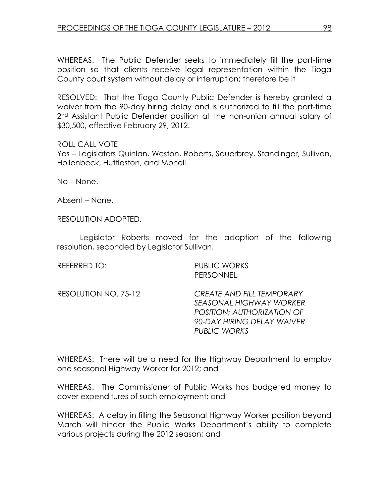WHEREAS: The Public Defender seeks to immediately fill the part-time position so that clients receive legal representation within the Tioga County court system without delay or interruption; therefore be it

RESOLVED: That the Tioga County Public Defender is hereby granted a waiver from the 90-day hiring delay and is authorized to fill the part-time 2<sup>nd</sup> Assistant Public Defender position at the non-union annual salary of \$30,500, effective February 29, 2012.

# ROLL CALL VOTE

Yes – Legislators Quinlan, Weston, Roberts, Sauerbrey, Standinger, Sullivan, Hollenbeck, Huttleston, and Monell.

No – None.

Absent – None.

RESOLUTION ADOPTED.

 Legislator Roberts moved for the adoption of the following resolution, seconded by Legislator Sullivan.

REFERRED TO: PUBLIC WORKS PERSONNEL

RESOLUTION NO. 75-12 CREATE AND FILL TEMPORARY SEASONAL HIGHWAY WORKER POSITION; AUTHORIZATION OF 90-DAY HIRING DELAY WAIVER PUBLIC WORKS

WHEREAS: There will be a need for the Highway Department to employ one seasonal Highway Worker for 2012; and

WHEREAS: The Commissioner of Public Works has budgeted money to cover expenditures of such employment; and

WHEREAS: A delay in filling the Seasonal Highway Worker position beyond March will hinder the Public Works Department's ability to complete various projects during the 2012 season; and